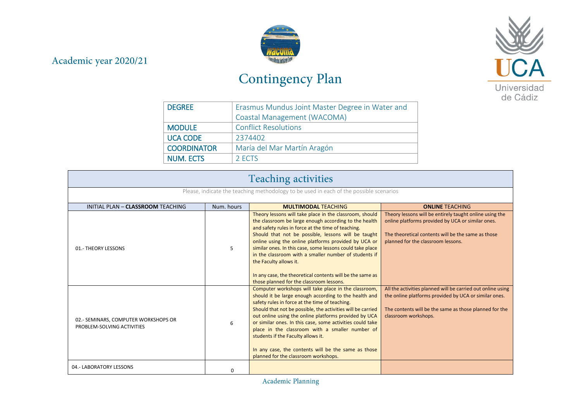## Academic year 2020/21



## Contingency Plan



| <b>DEGREE</b>      | Erasmus Mundus Joint Master Degree in Water and |
|--------------------|-------------------------------------------------|
|                    | Coastal Management (WACOMA)                     |
| <b>MODULE</b>      | <b>Conflict Resolutions</b>                     |
| <b>UCA CODE</b>    | 2374402                                         |
| <b>COORDINATOR</b> | María del Mar Martín Aragón                     |
| <b>NUM. ECTS</b>   | 2 ECTS                                          |

| <b>Teaching activities</b>                                                             |            |                                                                                                                                                                                                                                                                                                                                                                                                                                                                                                                                                |                                                                                                                                                                                                          |  |
|----------------------------------------------------------------------------------------|------------|------------------------------------------------------------------------------------------------------------------------------------------------------------------------------------------------------------------------------------------------------------------------------------------------------------------------------------------------------------------------------------------------------------------------------------------------------------------------------------------------------------------------------------------------|----------------------------------------------------------------------------------------------------------------------------------------------------------------------------------------------------------|--|
| Please, indicate the teaching methodology to be used in each of the possible scenarios |            |                                                                                                                                                                                                                                                                                                                                                                                                                                                                                                                                                |                                                                                                                                                                                                          |  |
| INITIAL PLAN - CLASSROOM TEACHING                                                      | Num. hours | <b>MULTIMODAL TEACHING</b>                                                                                                                                                                                                                                                                                                                                                                                                                                                                                                                     | <b>ONLINE TEACHING</b>                                                                                                                                                                                   |  |
| 01.- THEORY LESSONS                                                                    | 5          | Theory lessons will take place in the classroom, should<br>the classroom be large enough according to the health<br>and safety rules in force at the time of teaching.<br>Should that not be possible, lessons will be taught<br>online using the online platforms provided by UCA or<br>similar ones. In this case, some lessons could take place<br>in the classroom with a smaller number of students if<br>the Faculty allows it.<br>In any case, the theoretical contents will be the same as<br>those planned for the classroom lessons. | Theory lessons will be entirely taught online using the<br>online platforms provided by UCA or similar ones.<br>The theoretical contents will be the same as those<br>planned for the classroom lessons. |  |
| 02.- SEMINARS, COMPUTER WORKSHOPS OR<br>PROBLEM-SOLVING ACTIVITIES                     | 6          | Computer workshops will take place in the classroom,<br>should it be large enough according to the health and<br>safety rules in force at the time of teaching.<br>Should that not be possible, the activities will be carried<br>out online using the online platforms provided by UCA<br>or similar ones. In this case, some activities could take<br>place in the classroom with a smaller number of<br>students if the Faculty allows it.<br>In any case, the contents will be the same as those<br>planned for the classroom workshops.   | All the activities planned will be carried out online using<br>the online platforms provided by UCA or similar ones.<br>The contents will be the same as those planned for the<br>classroom workshops.   |  |
| 04.- LABORATORY LESSONS                                                                | 0          |                                                                                                                                                                                                                                                                                                                                                                                                                                                                                                                                                |                                                                                                                                                                                                          |  |

Academic Planning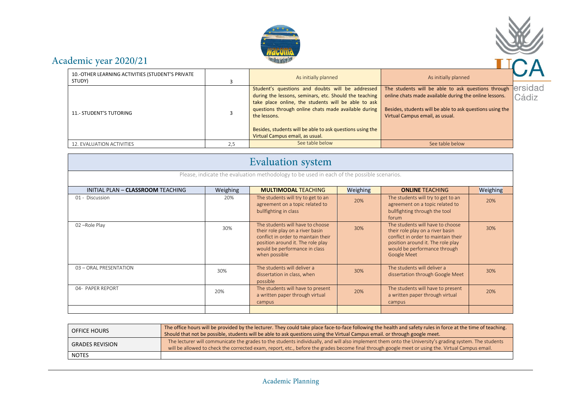



## Academic year 2020/21

| 10.-OTHER LEARNING ACTIVITIES (STUDENT'S PRIVATE<br>STUDY) |     | As initially planned                                                                                                                                                                                                                                                                                                                      | As initially planned                                                                                                                                                                                         |                 |
|------------------------------------------------------------|-----|-------------------------------------------------------------------------------------------------------------------------------------------------------------------------------------------------------------------------------------------------------------------------------------------------------------------------------------------|--------------------------------------------------------------------------------------------------------------------------------------------------------------------------------------------------------------|-----------------|
| <b>11.- STUDENT'S TUTORING</b>                             |     | Student's questions and doubts will be addressed<br>during the lessons, seminars, etc. Should the teaching<br>take place online, the students will be able to ask<br>questions through online chats made available during<br>the lessons.<br>Besides, students will be able to ask questions using the<br>Virtual Campus email, as usual. | The students will be able to ask questions through<br>online chats made available during the online lessons.<br>Besides, students will be able to ask questions using the<br>Virtual Campus email, as usual. | ersida<br>Cádiz |
| 12. EVALUATION ACTIVITIES                                  | 2.5 | See table below                                                                                                                                                                                                                                                                                                                           | See table below                                                                                                                                                                                              |                 |

| <b>Evaluation</b> system                                                                  |          |                                                                                                                                                                                                    |          |                                                                                                                                                                                                 |          |
|-------------------------------------------------------------------------------------------|----------|----------------------------------------------------------------------------------------------------------------------------------------------------------------------------------------------------|----------|-------------------------------------------------------------------------------------------------------------------------------------------------------------------------------------------------|----------|
| Please, indicate the evaluation methodology to be used in each of the possible scenarios. |          |                                                                                                                                                                                                    |          |                                                                                                                                                                                                 |          |
| INITIAL PLAN - CLASSROOM TEACHING                                                         | Weighing | <b>MULTIMODAL TEACHING</b>                                                                                                                                                                         | Weighing | <b>ONLINE TEACHING</b>                                                                                                                                                                          | Weighing |
| 01 - Discussion                                                                           | 20%      | The students will try to get to an<br>agreement on a topic related to<br>bullfighting in class                                                                                                     | 20%      | The students will try to get to an<br>agreement on a topic related to<br>bullfighting through the tool<br>forum                                                                                 | 20%      |
| 02-Role Play                                                                              | 30%      | The students will have to choose<br>their role play on a river basin<br>conflict in order to maintain their<br>position around it. The role play<br>would be performance in class<br>when possible | 30%      | The students will have to choose<br>their role play on a river basin<br>conflict in order to maintain their<br>position around it. The role play<br>would be performance through<br>Google Meet | 30%      |
| 03 - ORAL PRESENTATION                                                                    | 30%      | The students will deliver a<br>dissertation in class, when<br>possible                                                                                                                             | 30%      | The students will deliver a<br>dissertation through Google Meet                                                                                                                                 | 30%      |
| 04- PAPER REPORT                                                                          | 20%      | The students will have to present<br>a written paper through virtual<br>campus                                                                                                                     | 20%      | The students will have to present<br>a written paper through virtual<br>campus                                                                                                                  | 20%      |
|                                                                                           |          |                                                                                                                                                                                                    |          |                                                                                                                                                                                                 |          |

| <b>OFFICE HOURS</b>    | The office hours will be provided by the lecturer. They could take place face-to-face following the health and safety rules in force at the time of teaching.<br>Should that not be possible, students will be able to ask questions using the Virtual Campus email. or through google meet.                |
|------------------------|-------------------------------------------------------------------------------------------------------------------------------------------------------------------------------------------------------------------------------------------------------------------------------------------------------------|
| <b>GRADES REVISION</b> | The lecturer will communicate the grades to the students individually, and will also implement them onto the University's grading system. The students<br>will be allowed to check the corrected exam, report, etc., before the grades become final through google meet or using the. Virtual Campus email. |
| <b>NOTES</b>           |                                                                                                                                                                                                                                                                                                             |